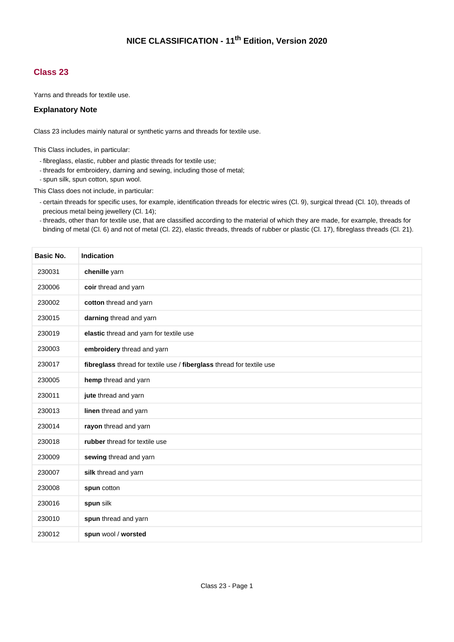## **Class 23**

Yarns and threads for textile use.

## **Explanatory Note**

Class 23 includes mainly natural or synthetic yarns and threads for textile use.

This Class includes, in particular:

- fibreglass, elastic, rubber and plastic threads for textile use;
- threads for embroidery, darning and sewing, including those of metal;
- spun silk, spun cotton, spun wool.

This Class does not include, in particular:

- certain threads for specific uses, for example, identification threads for electric wires (Cl. 9), surgical thread (Cl. 10), threads of precious metal being jewellery (Cl. 14);
- threads, other than for textile use, that are classified according to the material of which they are made, for example, threads for binding of metal (Cl. 6) and not of metal (Cl. 22), elastic threads, threads of rubber or plastic (Cl. 17), fibreglass threads (Cl. 21).

| Basic No. | <b>Indication</b>                                                     |
|-----------|-----------------------------------------------------------------------|
| 230031    | chenille yarn                                                         |
| 230006    | coir thread and yarn                                                  |
| 230002    | cotton thread and yarn                                                |
| 230015    | darning thread and yarn                                               |
| 230019    | elastic thread and yarn for textile use                               |
| 230003    | embroidery thread and yarn                                            |
| 230017    | fibreglass thread for textile use / fiberglass thread for textile use |
| 230005    | hemp thread and yarn                                                  |
| 230011    | jute thread and yarn                                                  |
| 230013    | linen thread and yarn                                                 |
| 230014    | rayon thread and yarn                                                 |
| 230018    | rubber thread for textile use                                         |
| 230009    | sewing thread and yarn                                                |
| 230007    | silk thread and yarn                                                  |
| 230008    | spun cotton                                                           |
| 230016    | spun silk                                                             |
| 230010    | spun thread and yarn                                                  |
| 230012    | spun wool / worsted                                                   |